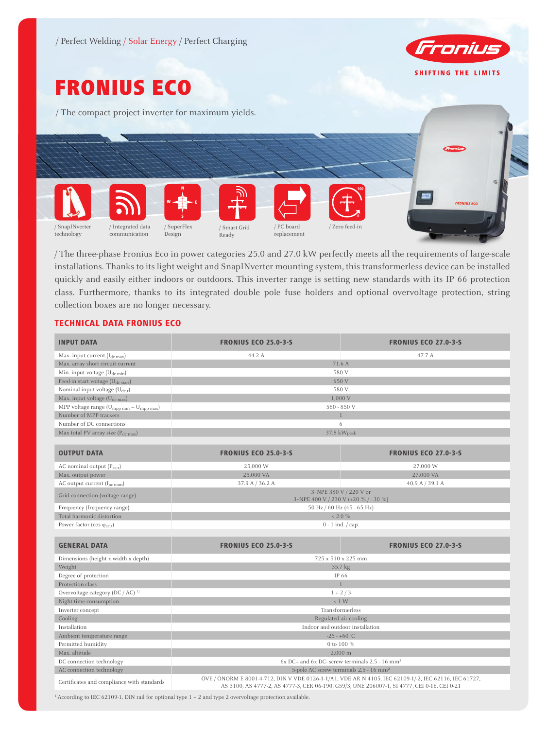

# FRONIUS ECO

/ The compact project inverter for maximum yields.



/ The three-phase Fronius Eco in power categories 25.0 and 27.0 kW perfectly meets all the requirements of large-scale installations. Thanks to its light weight and SnapINverter mounting system, this transformerless device can be installed quickly and easily either indoors or outdoors. This inverter range is setting new standards with its IP 66 protection class. Furthermore, thanks to its integrated double pole fuse holders and optional overvoltage protection, string collection boxes are no longer necessary.

# TECHNICAL DATA FRONIUS ECO

| <b>INPUT DATA</b>                                           | <b>FRONIUS ECO 25.0-3-S</b>                                                                                                                                                                          | <b>FRONIUS ECO 27.0-3-5</b> |
|-------------------------------------------------------------|------------------------------------------------------------------------------------------------------------------------------------------------------------------------------------------------------|-----------------------------|
| Max. input current $(I_{dc\ max})$                          | 44.2 A                                                                                                                                                                                               | 47.7 A                      |
| Max. array short circuit current                            | 71.6 A                                                                                                                                                                                               |                             |
| Min. input voltage $(U_{dc,min})$                           | 580 V                                                                                                                                                                                                |                             |
| Feed-in start voltage (U <sub>dc start</sub> )              | 650 V                                                                                                                                                                                                |                             |
| Nominal input voltage $(U_{dc,r})$                          | 580 V                                                                                                                                                                                                |                             |
| Max. input voltage $(U_{dc \, max})$                        | 1,000 V                                                                                                                                                                                              |                             |
| MPP voltage range $\left( U_{mpp\;min}-U_{mpp\;max}\right)$ | 580 - 850 V                                                                                                                                                                                          |                             |
| Number of MPP trackers                                      | $\mathbf{1}$                                                                                                                                                                                         |                             |
| Number of DC connections                                    | 6                                                                                                                                                                                                    |                             |
| Max total PV array size (Pdc max)                           | 37.8 kWpeak                                                                                                                                                                                          |                             |
|                                                             |                                                                                                                                                                                                      |                             |
| <b>OUTPUT DATA</b>                                          | <b>FRONIUS ECO 25.0-3-5</b>                                                                                                                                                                          | <b>FRONIUS ECO 27.0-3-5</b> |
| AC nominal output $(P_{ac,r})$                              | 25,000 W                                                                                                                                                                                             | 27,000 W                    |
| Max. output power                                           | 25,000 VA                                                                                                                                                                                            | 27,000 VA                   |
| AC output current (I <sub>ac nom</sub> )                    | 37.9 A / 36.2 A                                                                                                                                                                                      | 40.9 A / 39.1 A             |
| Grid connection (voltage range)                             | 3~NPE 380 V / 220 V or<br>3~NPE 400 V / 230 V (+20 % / - 30 %)                                                                                                                                       |                             |
| Frequency (frequency range)                                 | 50 Hz / 60 Hz (45 - 65 Hz)                                                                                                                                                                           |                             |
| Total harmonic distortion                                   | $< 2.0 \%$                                                                                                                                                                                           |                             |
| Power factor ( $\cos \varphi_{\text{ac,r}}$ )               | $0 - 1$ ind. $\frac{1}{2}$ cap.                                                                                                                                                                      |                             |
|                                                             |                                                                                                                                                                                                      |                             |
| <b>GENERAL DATA</b>                                         | <b>FRONIUS ECO 25.0-3-5</b>                                                                                                                                                                          | <b>FRONIUS ECO 27.0-3-5</b> |
| Dimensions (height x width x depth)                         | 725 x 510 x 225 mm                                                                                                                                                                                   |                             |
| Weight                                                      | 35.7 kg                                                                                                                                                                                              |                             |
| Degree of protection                                        | IP 66                                                                                                                                                                                                |                             |
| Protection class                                            | $\mathbf{1}$                                                                                                                                                                                         |                             |
| Overvoltage category (DC / AC) <sup>1)</sup>                | $1 + 2/3$                                                                                                                                                                                            |                             |
| Night-time consumption                                      | $\leq 1$ W                                                                                                                                                                                           |                             |
| Inverter concept                                            | Transformerless                                                                                                                                                                                      |                             |
| Cooling                                                     | Regulated air cooling                                                                                                                                                                                |                             |
| Installation                                                | Indoor and outdoor installation                                                                                                                                                                      |                             |
| Ambient temperature range                                   | $-25 - +60$ °C                                                                                                                                                                                       |                             |
| Permitted humidity                                          | 0 to 100 %                                                                                                                                                                                           |                             |
| Max. altitude                                               | $2,000 \; \mathrm{m}$                                                                                                                                                                                |                             |
| DC connection technology                                    | $6x$ DC+ and $6x$ DC- screw terminals 2.5 - 16 mm <sup>2</sup>                                                                                                                                       |                             |
| AC connection technology                                    | 5-pole AC screw terminals 2.5 - 16 mm <sup>2</sup>                                                                                                                                                   |                             |
| Certificates and compliance with standards                  | ÖVE / ÖNORM E 8001-4-712, DIN V VDE 0126-1-1/A1, VDE AR N 4105, IEC 62109-1/-2, IEC 62116, IEC 61727,<br>AS 3100, AS 4777-2, AS 4777-3, CER 06-190, G59/3, UNE 206007-1, SI 4777, CEI 0-16, CEI 0-21 |                             |

<sup>1)</sup>According to IEC 62109-1. DIN rail for optional type 1 + 2 and type 2 overvoltage protection available.